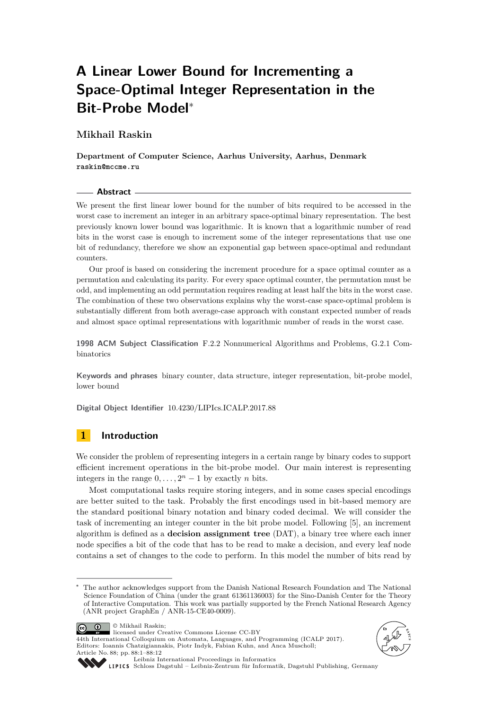# **A Linear Lower Bound for Incrementing a Space-Optimal Integer Representation in the Bit-Probe Model**<sup>∗</sup>

# **Mikhail Raskin**

**Department of Computer Science, Aarhus University, Aarhus, Denmark raskin@mccme.ru**

#### **Abstract**

We present the first linear lower bound for the number of bits required to be accessed in the worst case to increment an integer in an arbitrary space-optimal binary representation. The best previously known lower bound was logarithmic. It is known that a logarithmic number of read bits in the worst case is enough to increment some of the integer representations that use one bit of redundancy, therefore we show an exponential gap between space-optimal and redundant counters.

Our proof is based on considering the increment procedure for a space optimal counter as a permutation and calculating its parity. For every space optimal counter, the permutation must be odd, and implementing an odd permutation requires reading at least half the bits in the worst case. The combination of these two observations explains why the worst-case space-optimal problem is substantially different from both average-case approach with constant expected number of reads and almost space optimal representations with logarithmic number of reads in the worst case.

**1998 ACM Subject Classification** F.2.2 Nonnumerical Algorithms and Problems, G.2.1 Combinatorics

**Keywords and phrases** binary counter, data structure, integer representation, bit-probe model, lower bound

**Digital Object Identifier** [10.4230/LIPIcs.ICALP.2017.88](http://dx.doi.org/10.4230/LIPIcs.ICALP.2017.88)

# **1 Introduction**

We consider the problem of representing integers in a certain range by binary codes to support efficient increment operations in the bit-probe model. Our main interest is representing integers in the range  $0, \ldots, 2<sup>n</sup> - 1$  by exactly *n* bits.

Most computational tasks require storing integers, and in some cases special encodings are better suited to the task. Probably the first encodings used in bit-based memory are the standard positional binary notation and binary coded decimal. We will consider the task of incrementing an integer counter in the bit probe model. Following [\[5\]](#page-10-0), an increment algorithm is defined as a **decision assignment tree** (DAT), a binary tree where each inner node specifies a bit of the code that has to be read to make a decision, and every leaf node contains a set of changes to the code to perform. In this model the number of bits read by

The author acknowledges support from the Danish National Research Foundation and The National Science Foundation of China (under the grant 61361136003) for the Sino-Danish Center for the Theory of Interactive Computation. This work was partially supported by the French National Research Agency (ANR project GraphEn / ANR-15-CE40-0009).











[Leibniz International Proceedings in Informatics](http://www.dagstuhl.de/lipics/)

[Schloss Dagstuhl – Leibniz-Zentrum für Informatik, Dagstuhl Publishing, Germany](http://www.dagstuhl.de)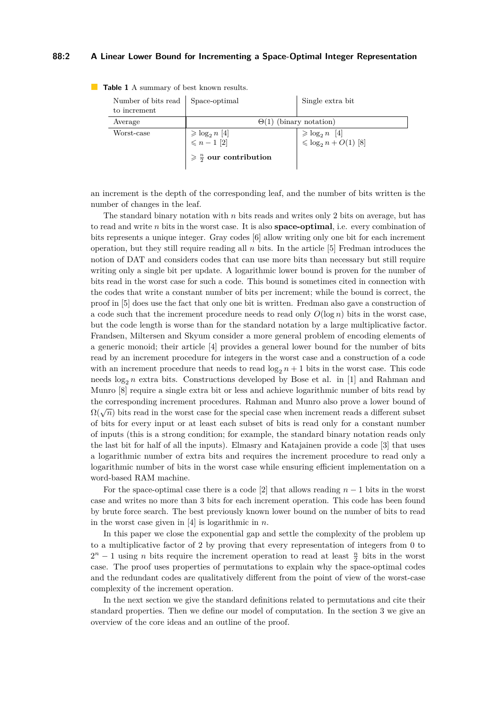#### **88:2 A Linear Lower Bound for Incrementing a Space-Optimal Integer Representation**

| Number of bits read   Space-optimal<br>to increment |                                                                                                   | Single extra bit                                                        |  |
|-----------------------------------------------------|---------------------------------------------------------------------------------------------------|-------------------------------------------------------------------------|--|
| Average                                             | $\Theta(1)$ (binary notation)                                                                     |                                                                         |  |
| Worst-case                                          | $\geqslant \log_2 n \; [4]$<br>$\leqslant n-1 \; [2]$<br>$\geqslant \frac{n}{2}$ our contribution | $\geqslant \log_2 n \quad [4]$<br>$\leqslant \log_2 n + O(1) \quad [8]$ |  |

**Table 1** A summary of best known results.

an increment is the depth of the corresponding leaf, and the number of bits written is the number of changes in the leaf.

The standard binary notation with *n* bits reads and writes only 2 bits on average, but has to read and write *n* bits in the worst case. It is also **space-optimal**, i.e. every combination of bits represents a unique integer. Gray codes [\[6\]](#page-11-2) allow writing only one bit for each increment operation, but they still require reading all *n* bits. In the article [\[5\]](#page-10-0) Fredman introduces the notion of DAT and considers codes that can use more bits than necessary but still require writing only a single bit per update. A logarithmic lower bound is proven for the number of bits read in the worst case for such a code. This bound is sometimes cited in connection with the codes that write a constant number of bits per increment; while the bound is correct, the proof in [\[5\]](#page-10-0) does use the fact that only one bit is written. Fredman also gave a construction of a code such that the increment procedure needs to read only  $O(\log n)$  bits in the worst case, but the code length is worse than for the standard notation by a large multiplicative factor. Frandsen, Miltersen and Skyum consider a more general problem of encoding elements of a generic monoid; their article [\[4\]](#page-10-1) provides a general lower bound for the number of bits read by an increment procedure for integers in the worst case and a construction of a code with an increment procedure that needs to read  $\log_2 n + 1$  bits in the worst case. This code needs  $\log_2 n$  extra bits. Constructions developed by Bose et al. in [\[1\]](#page-10-3) and Rahman and Munro [\[8\]](#page-11-1) require a single extra bit or less and achieve logarithmic number of bits read by the corresponding increment procedures. Rahman and Munro also prove a lower bound of  $\Omega(\sqrt{n})$  bits read in the worst case for the special case when increment reads a different subset of bits for every input or at least each subset of bits is read only for a constant number of inputs (this is a strong condition; for example, the standard binary notation reads only the last bit for half of all the inputs). Elmasry and Katajainen provide a code [\[3\]](#page-10-4) that uses a logarithmic number of extra bits and requires the increment procedure to read only a logarithmic number of bits in the worst case while ensuring efficient implementation on a word-based RAM machine.

For the space-optimal case there is a code [\[2\]](#page-10-2) that allows reading  $n-1$  bits in the worst case and writes no more than 3 bits for each increment operation. This code has been found by brute force search. The best previously known lower bound on the number of bits to read in the worst case given in [\[4\]](#page-10-1) is logarithmic in *n*.

In this paper we close the exponential gap and settle the complexity of the problem up to a multiplicative factor of 2 by proving that every representation of integers from 0 to  $2^n - 1$  using *n* bits require the increment operation to read at least  $\frac{n}{2}$  bits in the worst case. The proof uses properties of permutations to explain why the space-optimal codes and the redundant codes are qualitatively different from the point of view of the worst-case complexity of the increment operation.

In the next section we give the standard definitions related to permutations and cite their standard properties. Then we define our model of computation. In the section 3 we give an overview of the core ideas and an outline of the proof.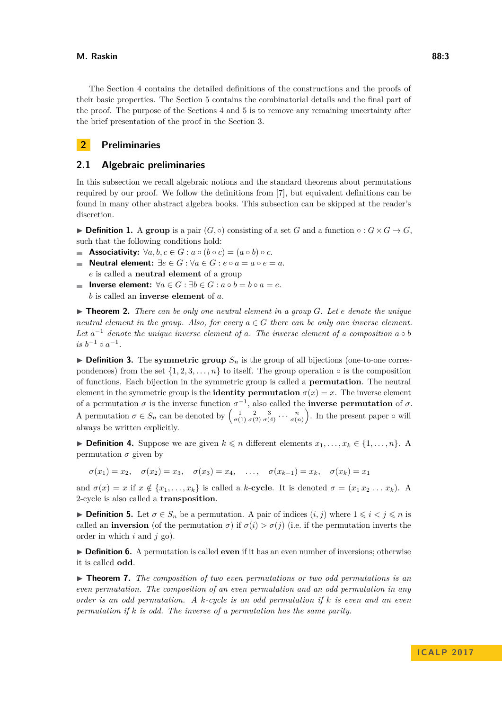#### **M. Raskin 88:3**

The Section [4](#page-4-0) contains the detailed definitions of the constructions and the proofs of their basic properties. The Section [5](#page-8-0) contains the combinatorial details and the final part of the proof. The purpose of the Sections [4](#page-4-0) and [5](#page-8-0) is to remove any remaining uncertainty after the brief presentation of the proof in the Section [3.](#page-3-0)

# **2 Preliminaries**

## **2.1 Algebraic preliminaries**

In this subsection we recall algebraic notions and the standard theorems about permutations required by our proof. We follow the definitions from [\[7\]](#page-11-3), but equivalent definitions can be found in many other abstract algebra books. This subsection can be skipped at the reader's discretion.

**Definition 1.** A group is a pair  $(G, \circ)$  consisting of a set *G* and a function  $\circ : G \times G \to G$ , such that the following conditions hold:

- **Associativity:**  $\forall a, b, c \in G : a \circ (b \circ c) = (a \circ b) \circ c$ .
- **Neutral element:**  $\exists e \in G : \forall a \in G : e \circ a = a \circ e = a$ . *e* is called a **neutral element** of a group
- **Inverse element:**  $\forall a \in G : \exists b \in G : a \circ b = b \circ a = e$ .  $\sim$ *b* is called an **inverse element** of *a*.

 $\triangleright$  **Theorem 2.** There can be only one neutral element in a group G. Let e denote the unique *neutral element in the group. Also, for every*  $a \in G$  *there can be only one inverse element.* Let  $a^{-1}$  denote the unique inverse element of a. The inverse element of a composition  $a \circ b$  $is b^{-1} \circ a^{-1}.$ 

 $\triangleright$  **Definition 3.** The **symmetric group**  $S_n$  is the group of all bijections (one-to-one correspondences) from the set  $\{1, 2, 3, \ldots, n\}$  to itself. The group operation  $\circ$  is the composition of functions. Each bijection in the symmetric group is called a **permutation**. The neutral element in the symmetric group is the **identity permutation**  $\sigma(x) = x$ . The inverse element of a permutation  $\sigma$  is the inverse function  $\sigma^{-1}$ , also called the **inverse permutation** of  $\sigma$ . A permutation  $\sigma \in S_n$  can be denoted by  $\begin{pmatrix} 1 & 2 & 3 \ \sigma(1) & \sigma(2) & \sigma(4) & \cdots & \sigma(n) \end{pmatrix}$ . In the present paper  $\circ$  will always be written explicitly.

▶ **Definition 4.** Suppose we are given  $k \le n$  different elements  $x_1, \ldots, x_k \in \{1, \ldots, n\}$ . A permutation  $\sigma$  given by

$$
\sigma(x_1)=x_2,\quad \sigma(x_2)=x_3,\quad \sigma(x_3)=x_4,\quad \ldots,\quad \sigma(x_{k-1})=x_k,\quad \sigma(x_k)=x_1
$$

and  $\sigma(x) = x$  if  $x \notin \{x_1, \ldots, x_k\}$  is called a *k*-**cycle**. It is denoted  $\sigma = (x_1 x_2 \ldots x_k)$ . A 2-cycle is also called a **transposition**.

**► Definition 5.** Let  $\sigma \in S_n$  be a permutation. A pair of indices  $(i, j)$  where  $1 \leq i < j \leq n$  is called an **inversion** (of the permutation  $\sigma$ ) if  $\sigma(i) > \sigma(j)$  (i.e. if the permutation inverts the order in which *i* and *j* go).

▶ **Definition 6.** A permutation is called **even** if it has an even number of inversions; otherwise it is called **odd**.

► **Theorem 7.** *The composition of two even permutations or two odd permutations is an even permutation. The composition of an even permutation and an odd permutation in any order is an odd permutation. A k-cycle is an odd permutation if k is even and an even permutation if k is odd. The inverse of a permutation has the same parity.*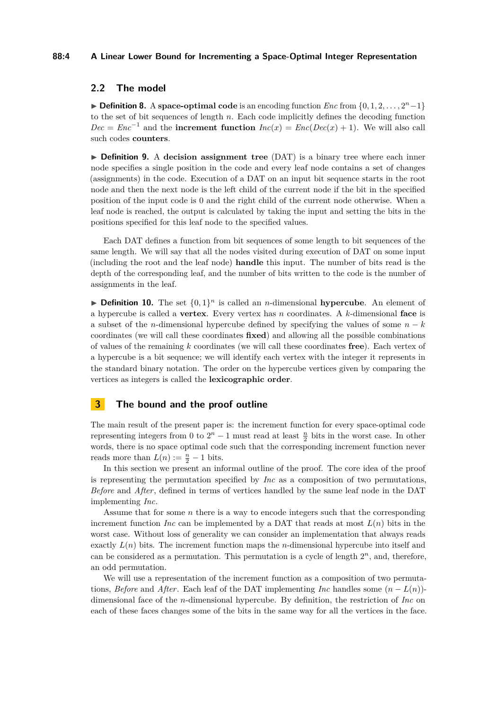#### **88:4 A Linear Lower Bound for Incrementing a Space-Optimal Integer Representation**

## **2.2 The model**

**Definition 8.** A **space-optimal code** is an encoding function  $Enc$  from  $\{0, 1, 2, \ldots, 2^n - 1\}$ to the set of bit sequences of length *n*. Each code implicitly defines the decoding function  $Dec = Enc^{-1}$  and the **increment function**  $Inc(x) = Enc(Dec(x) + 1)$ . We will also call such codes **counters**.

<span id="page-3-1"></span>▶ **Definition 9.** A decision assignment tree (DAT) is a binary tree where each inner node specifies a single position in the code and every leaf node contains a set of changes (assignments) in the code. Execution of a DAT on an input bit sequence starts in the root node and then the next node is the left child of the current node if the bit in the specified position of the input code is 0 and the right child of the current node otherwise. When a leaf node is reached, the output is calculated by taking the input and setting the bits in the positions specified for this leaf node to the specified values.

Each DAT defines a function from bit sequences of some length to bit sequences of the same length. We will say that all the nodes visited during execution of DAT on some input (including the root and the leaf node) **handle** this input. The number of bits read is the depth of the corresponding leaf, and the number of bits written to the code is the number of assignments in the leaf.

**Definition 10.** The set  $\{0,1\}^n$  is called an *n*-dimensional **hypercube**. An element of a hypercube is called a **vertex**. Every vertex has *n* coordinates. A *k*-dimensional **face** is a subset of the *n*-dimensional hypercube defined by specifying the values of some  $n - k$ coordinates (we will call these coordinates **fixed**) and allowing all the possible combinations of values of the remaining *k* coordinates (we will call these coordinates **free**). Each vertex of a hypercube is a bit sequence; we will identify each vertex with the integer it represents in the standard binary notation. The order on the hypercube vertices given by comparing the vertices as integers is called the **lexicographic order**.

# <span id="page-3-0"></span>**3 The bound and the proof outline**

The main result of the present paper is: the increment function for every space-optimal code representing integers from 0 to  $2^n - 1$  must read at least  $\frac{n}{2}$  bits in the worst case. In other words, there is no space optimal code such that the corresponding increment function never reads more than  $L(n) := \frac{n}{2} - 1$  bits.

In this section we present an informal outline of the proof. The core idea of the proof is representing the permutation specified by *Inc* as a composition of two permutations, *Before* and *After*, defined in terms of vertices handled by the same leaf node in the DAT implementing *Inc*.

Assume that for some *n* there is a way to encode integers such that the corresponding increment function *Inc* can be implemented by a DAT that reads at most  $L(n)$  bits in the worst case. Without loss of generality we can consider an implementation that always reads exactly  $L(n)$  bits. The increment function maps the *n*-dimensional hypercube into itself and can be considered as a permutation. This permutation is a cycle of length  $2<sup>n</sup>$ , and, therefore, an odd permutation.

We will use a representation of the increment function as a composition of two permutations, *Before* and *After*. Each leaf of the DAT implementing *Inc* handles some  $(n - L(n))$ dimensional face of the *n*-dimensional hypercube. By definition, the restriction of *Inc* on each of these faces changes some of the bits in the same way for all the vertices in the face.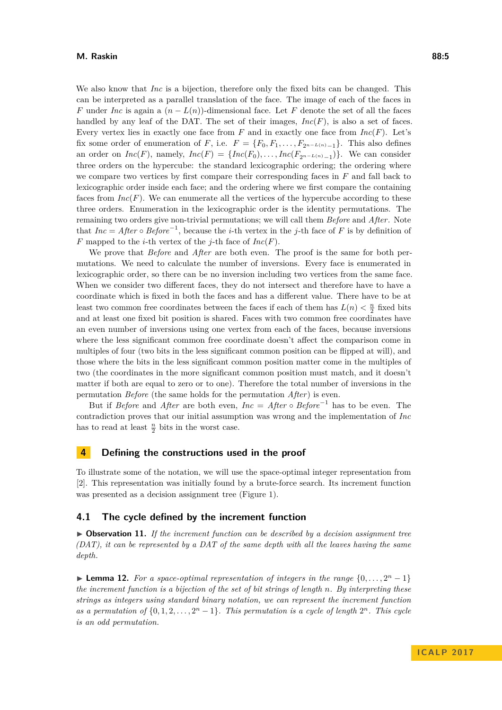We also know that *Inc* is a bijection, therefore only the fixed bits can be changed. This can be interpreted as a parallel translation of the face. The image of each of the faces in *F* under *Inc* is again a  $(n - L(n))$ -dimensional face. Let *F* denote the set of all the faces handled by any leaf of the DAT. The set of their images, *Inc*(*F*), is also a set of faces. Every vertex lies in exactly one face from  $F$  and in exactly one face from  $Inc(F)$ . Let's fix some order of enumeration of *F*, i.e.  $F = \{F_0, F_1, \ldots, F_{2n-L(n)-1}\}\.$  This also defines an order on  $Inc(F)$ , namely,  $Inc(F) = \{Inc(F_0), \ldots, Inc(F_{2^{n-L(n)}-1})\}$ . We can consider three orders on the hypercube: the standard lexicographic ordering; the ordering where we compare two vertices by first compare their corresponding faces in *F* and fall back to lexicographic order inside each face; and the ordering where we first compare the containing faces from  $Inc(F)$ . We can enumerate all the vertices of the hypercube according to these three orders. Enumeration in the lexicographic order is the identity permutations. The remaining two orders give non-trivial permutations; we will call them *Before* and *After*. Note that  $Inc = After \circ Before^{-1}$ , because the *i*-th vertex in the *j*-th face of *F* is by definition of *F* mapped to the *i*-th vertex of the *j*-th face of *Inc*(*F*).

We prove that *Before* and *After* are both even. The proof is the same for both permutations. We need to calculate the number of inversions. Every face is enumerated in lexicographic order, so there can be no inversion including two vertices from the same face. When we consider two different faces, they do not intersect and therefore have to have a coordinate which is fixed in both the faces and has a different value. There have to be at least two common free coordinates between the faces if each of them has  $L(n) < \frac{n}{2}$  fixed bits and at least one fixed bit position is shared. Faces with two common free coordinates have an even number of inversions using one vertex from each of the faces, because inversions where the less significant common free coordinate doesn't affect the comparison come in multiples of four (two bits in the less significant common position can be flipped at will), and those where the bits in the less significant common position matter come in the multiples of two (the coordinates in the more significant common position must match, and it doesn't matter if both are equal to zero or to one). Therefore the total number of inversions in the permutation *Before* (the same holds for the permutation *After*) is even.

But if *Before* and *After* are both even,  $Inc = After \circ Before^{-1}$  has to be even. The contradiction proves that our initial assumption was wrong and the implementation of *Inc* has to read at least  $\frac{n}{2}$  bits in the worst case.

## <span id="page-4-0"></span>**4 Defining the constructions used in the proof**

To illustrate some of the notation, we will use the space-optimal integer representation from [\[2\]](#page-10-2). This representation was initially found by a brute-force search. Its increment function was presented as a decision assignment tree (Figure [1\)](#page-5-0).

## **4.1 The cycle defined by the increment function**

▶ Observation 11. If the increment function can be described by a decision assignment tree *(DAT), it can be represented by a DAT of the same depth with all the leaves having the same depth.*

**Lemma 12.** For a space-optimal representation of integers in the range  $\{0, \ldots, 2^n - 1\}$ *the increment function is a bijection of the set of bit strings of length n. By interpreting these strings as integers using standard binary notation, we can represent the increment function* as a permutation of  $\{0, 1, 2, \ldots, 2<sup>n</sup> - 1\}$ . This permutation is a cycle of length  $2<sup>n</sup>$ . This cycle *is an odd permutation.*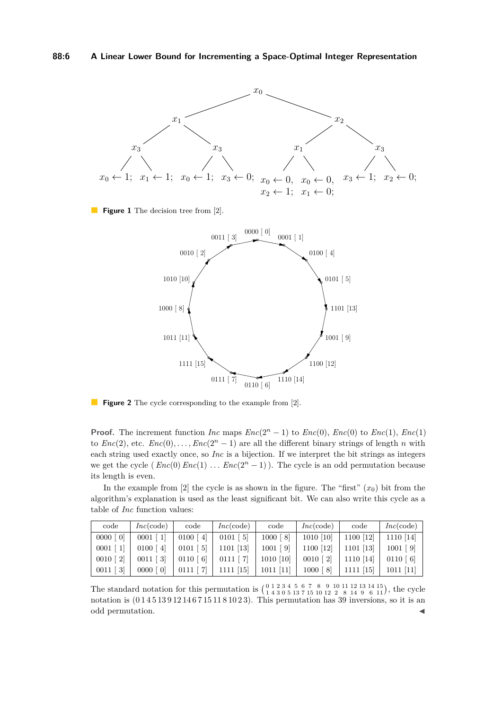<span id="page-5-0"></span>

**Figure 1** The decision tree from [\[2\]](#page-10-2).



**Figure 2** The cycle corresponding to the example from [\[2\]](#page-10-2).

**Proof.** The increment function *Inc* maps  $Enc(2^n - 1)$  to  $Enc(0)$ ,  $Enc(0)$  to  $Enc(1)$ ,  $Enc(1)$ to  $Enc(2)$ , etc.  $Enc(0), \ldots, Enc(2<sup>n</sup> - 1)$  are all the different binary strings of length *n* with each string used exactly once, so *Inc* is a bijection. If we interpret the bit strings as integers we get the cycle ( $Enc(0) Enc(1) ... Enc(2<sup>n</sup> - 1)$ ). The cycle is an odd permutation because its length is even.

In the example from  $[2]$  the cycle is as shown in the figure. The "first"  $(x_0)$  bit from the algorithm's explanation is used as the least significant bit. We can also write this cycle as a table of *Inc* function values:

| code        | Inc(code)   | code         | Inc(code)   | code        | Inc(code)    | code      | Inc(code)  |
|-------------|-------------|--------------|-------------|-------------|--------------|-----------|------------|
| $0000$ [ 0] | $0001$ [    | 0100<br>4    | $0101$ [ 5] | $1000$ [8]  | $1010$ [10]  | 1100 [12] | 1110 [14]  |
| 0001        | 0100<br>-41 | - 51<br>0101 | 1101 [13]   | $1001$ [9]  | 1100 [12]    | 1101 [13] | $1001$ [9] |
| $0010$ [ 2] | $0011$ [ 3] | 0110 [6]     | $0111$ [ 7] | 1010 [10]   | $0010$ [ 2]  | 1110 [14] | 0110 [6]   |
| $0011$ [ 3] | $0000$ [ 0] |              | 15          | $1011$ [11] | 1000<br>- 81 | [15]      | 1011 [11]  |

The standard notation for this permutation is  $\left(\begin{array}{cccccc} 0 & 1 & 2 & 3 & 4 & 5 & 6 & 7 & 8 & 9 & 10 & 11 & 12 & 13 & 14 & 15 \\ 1 & 4 & 3 & 0 & 5 & 13 & 7 & 15 & 10 & 12 & 2 & 8 & 14 & 9 & 6 & 11 \end{array}\right)$ , the cycle notation is  $(0145139121467151181023)$ . This permutation has 39 inversions, so it is an odd permutation.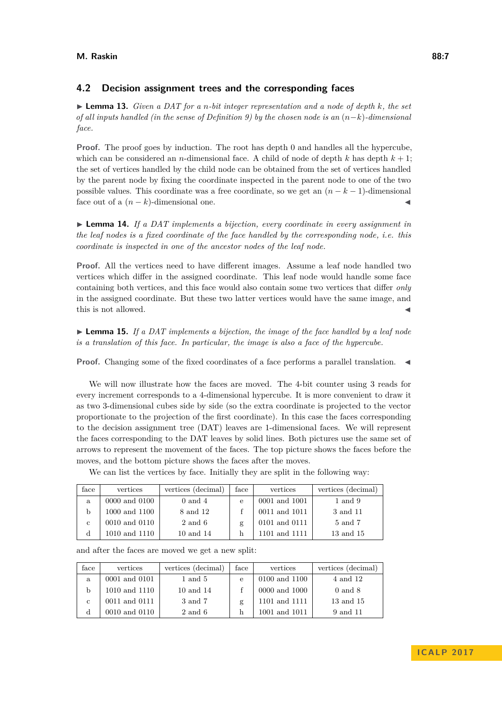# **4.2 Decision assignment trees and the corresponding faces**

I **Lemma 13.** *Given a DAT for a n-bit integer representation and a node of depth k, the set of all inputs handled (in the sense of Definition [9\)](#page-3-1) by the chosen node is an* (*n*−*k*)*-dimensional face.*

**Proof.** The proof goes by induction. The root has depth 0 and handles all the hypercube, which can be considered an *n*-dimensional face. A child of node of depth  $k$  has depth  $k + 1$ ; the set of vertices handled by the child node can be obtained from the set of vertices handled by the parent node by fixing the coordinate inspected in the parent node to one of the two possible values. This coordinate was a free coordinate, so we get an (*n* − *k* − 1)-dimensional face out of a  $(n - k)$ -dimensional one.

 $\triangleright$  **Lemma 14.** *If a DAT implements a bijection, every coordinate in every assignment in the leaf nodes is a fixed coordinate of the face handled by the corresponding node, i.e. this coordinate is inspected in one of the ancestor nodes of the leaf node.*

**Proof.** All the vertices need to have different images. Assume a leaf node handled two vertices which differ in the assigned coordinate. This leaf node would handle some face containing both vertices, and this face would also contain some two vertices that differ *only* in the assigned coordinate. But these two latter vertices would have the same image, and this is not allowed.

► **Lemma 15.** If a DAT implements a bijection, the image of the face handled by a leaf node *is a translation of this face. In particular, the image is also a face of the hypercube.*

**Proof.** Changing some of the fixed coordinates of a face performs a parallel translation.

We will now illustrate how the faces are moved. The 4-bit counter using 3 reads for every increment corresponds to a 4-dimensional hypercube. It is more convenient to draw it as two 3-dimensional cubes side by side (so the extra coordinate is projected to the vector proportionate to the projection of the first coordinate). In this case the faces corresponding to the decision assignment tree (DAT) leaves are 1-dimensional faces. We will represent the faces corresponding to the DAT leaves by solid lines. Both pictures use the same set of arrows to represent the movement of the faces. The top picture shows the faces before the moves, and the bottom picture shows the faces after the moves.

We can list the vertices by face. Initially they are split in the following way:

| $_{\rm face}$ | vertices      | vertices (decimal) | face | vertices      | vertices (decimal) |
|---------------|---------------|--------------------|------|---------------|--------------------|
| a             | 0000 and 0100 | $0$ and $4$        | e    | 0001 and 1001 | 1 and 9            |
| b             | 1000 and 1100 | 8 and 12           |      | 0011 and 1011 | 3 and 11           |
| $\mathbf{c}$  | 0010 and 0110 | 2 and 6            | g    | 0101 and 0111 | 5 and 7            |
|               | 1010 and 1110 | 10 and 14          |      | 1101 and 1111 | 13 and 15          |

| face        | vertices      | vertices (decimal) | face | vertices      | vertices (decimal) |
|-------------|---------------|--------------------|------|---------------|--------------------|
| a           | 0001 and 0101 | $1$ and $5$        | e    | 0100 and 1100 | 4 and 12           |
| b           | 1010 and 1110 | $10$ and $14$      |      | 0000 and 1000 | $0$ and $8$        |
| $\mathbf c$ | 0011 and 0111 | 3 and 7            | g    | 1101 and 1111 | 13 and 15          |
|             | 0010 and 0110 | 2 and 6            |      | 1001 and 1011 | 9 and 11           |

and after the faces are moved we get a new split: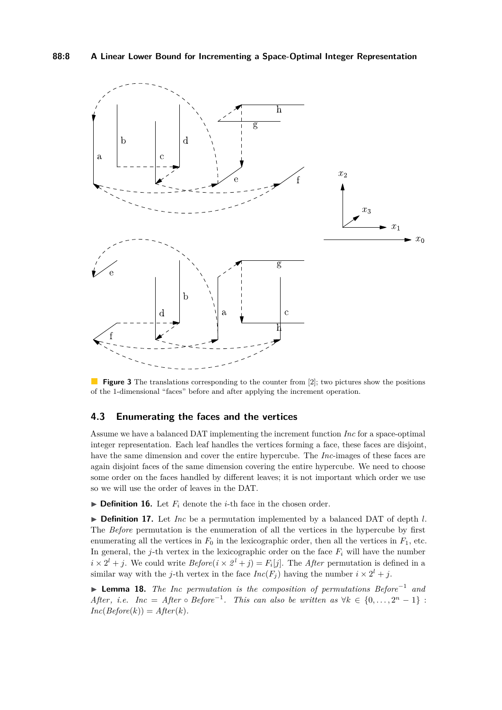

**Figure 3** The translations corresponding to the counter from [\[2\]](#page-10-2); two pictures show the positions of the 1-dimensional "faces" before and after applying the increment operation.

## **4.3 Enumerating the faces and the vertices**

Assume we have a balanced DAT implementing the increment function *Inc* for a space-optimal integer representation. Each leaf handles the vertices forming a face, these faces are disjoint, have the same dimension and cover the entire hypercube. The *Inc*-images of these faces are again disjoint faces of the same dimension covering the entire hypercube. We need to choose some order on the faces handled by different leaves; it is not important which order we use so we will use the order of leaves in the DAT.

 $\triangleright$  **Definition 16.** Let  $F_i$  denote the *i*-th face in the chosen order.

▶ Definition 17. Let *Inc* be a permutation implemented by a balanced DAT of depth *l*. The *Before* permutation is the enumeration of all the vertices in the hypercube by first enumerating all the vertices in  $F_0$  in the lexicographic order, then all the vertices in  $F_1$ , etc. In general, the *j*-th vertex in the lexicographic order on the face  $F_i$  will have the number  $i \times 2^{l} + j$ . We could write  $Before(i \times 2^{l} + j) = F_{i}[j]$ . The *After* permutation is defined in a similar way with the *j*-th vertex in the face  $Inc(F_j)$  having the number  $i \times 2^l + j$ .

I **Lemma 18.** *The Inc permutation is the composition of permutations Before*<sup>−</sup><sup>1</sup> *and After, i.e. Inc* = *After* ◦ *Before*<sup>-1</sup>. *This can also be written as*  $\forall k \in \{0, ..., 2^n - 1\}$ :  $Inc(Before(k)) = After(k).$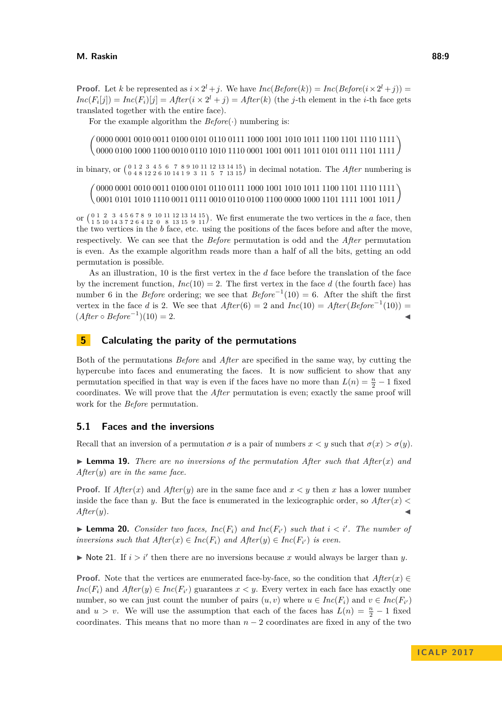**Proof.** Let *k* be represented as  $i \times 2^{l} + j$ . We have  $Inc(Before(k)) = Inc(Before(i \times 2^{l} + j))$  $Inc(F_i[j]) = Inc(F_i)[j] = After(i \times 2^l + j) = After(k)$  (the *j*-th element in the *i*-th face gets translated together with the entire face).

For the example algorithm the  $Before(\cdot)$  numbering is:

 $\left(\begin{array}{c} 0000\ 0001\ 0010\ 0011\ 0100\ 0101\ 0110\ 0111\ 1000\ 1001\ 1010\ 1011\ 1010\ 1011\ 1101\ 1111\end{array}\right)$ 0000 0100 1000 1100 0010 0110 1010 1110 0001 1001 0011 1011 0101 0111 1101

in binary, or  $\begin{pmatrix} 0 & 1 & 2 & 3 & 4 & 5 & 6 & 7 & 8 & 9 & 10 & 11 & 12 & 13 & 14 & 15 \\ 0 & 4 & 8 & 12 & 2 & 6 & 10 & 14 & 1 & 9 & 3 & 11 & 5 & 7 & 13 & 15 \end{pmatrix}$  in decimal notation. The *After* numbering is

 $\sqrt{ }$ 0000 0001 0010 0011 0100 0101 0110 0111 1000 1001 1010 1011 1100 1101 1110 1111 0000 0001 0010 0011 0100 0101 0110 0111 1000 1001 1010 1011 1100 1101 1110 1111 )<br>0001 0101 1010 1110 0011 0111 0010 0110 0100 1100 0000 1000 1101 1111 1001 1011 )

or  $\begin{pmatrix} 0 & 1 & 2 & 3 & 4 & 5 & 6 & 7 & 8 & 9 & 10 & 11 & 12 & 13 & 14 & 15 \\ 1 & 5 & 10 & 14 & 3 & 7 & 2 & 6 & 4 & 12 & 0 \\ 1 & 5 & 10 & 14 & 3 & 7 & 2 & 6 & 4 & 12 & 0 \\ 8 & 13 & 15 & 9 & 11 & 14 & 15 & 15 \\ 11 & 11 & 12 & 13 & 14 & 15 & 15 \\ 11 & 13 & 14 & 15 & 15 & 16 & 17$ the two vertices in the *b* face, etc. using the positions of the faces before and after the move, respectively. We can see that the *Before* permutation is odd and the *After* permutation is even. As the example algorithm reads more than a half of all the bits, getting an odd permutation is possible.

As an illustration, 10 is the first vertex in the *d* face before the translation of the face by the increment function,  $Inc(10) = 2$ . The first vertex in the face d (the fourth face) has number 6 in the *Before* ordering; we see that  $Before^{-1}(10) = 6$ . After the shift the first vertex in the face *d* is 2. We see that  $After(6) = 2$  and  $Inc(10) = After(Before^{-1}(10)) =$  $(After \circ Before^{-1})(10) = 2.$ 

## <span id="page-8-0"></span>**5 Calculating the parity of the permutations**

Both of the permutations *Before* and *After* are specified in the same way, by cutting the hypercube into faces and enumerating the faces. It is now sufficient to show that any permutation specified in that way is even if the faces have no more than  $L(n) = \frac{n}{2} - 1$  fixed coordinates. We will prove that the *After* permutation is even; exactly the same proof will work for the *Before* permutation.

## **5.1 Faces and the inversions**

Recall that an inversion of a permutation  $\sigma$  is a pair of numbers  $x < y$  such that  $\sigma(x) > \sigma(y)$ .

<span id="page-8-1"></span> $\triangleright$  **Lemma 19.** *There are no inversions of the permutation After such that After*(*x*) *and After*(*y*) *are in the same face.*

**Proof.** If  $After(x)$  and  $After(y)$  are in the same face and  $x \leq y$  then x has a lower number inside the face than *y*. But the face is enumerated in the lexicographic order, so  $After(x)$  $After(y).$ 

<span id="page-8-2"></span>**I Lemma 20.** *Consider two faces,*  $Inc(F_i)$  *and*  $Inc(F_{i'})$  *such that*  $i < i'$ *. The number of inversions such that*  $After(x) \in Inc(F_i)$  and  $After(y) \in Inc(F_{i'})$  *is even.* 

 $\triangleright$  Note 21. If  $i > i'$  then there are no inversions because *x* would always be larger than *y*.

**Proof.** Note that the vertices are enumerated face-by-face, so the condition that  $After(x) \in$ *Inc*(*F*<sub>*i*</sub>) and *After*(*y*)  $\in$  *Inc*(*F*<sub>*i*</sub><sup> $\cdot$ </sup>) guarantees *x* < *y*. Every vertex in each face has exactly one number, so we can just count the number of pairs  $(u, v)$  where  $u \in Inc(F_i)$  and  $v \in Inc(F_{i'})$ and  $u > v$ . We will use the assumption that each of the faces has  $L(n) = \frac{n}{2} - 1$  fixed coordinates. This means that no more than *n* − 2 coordinates are fixed in any of the two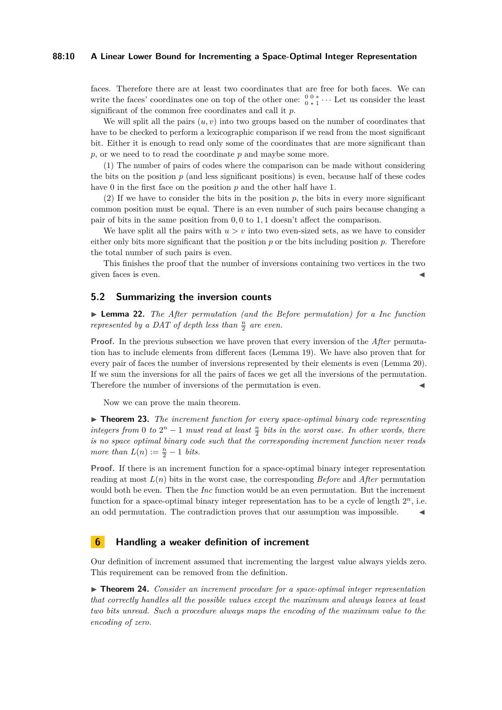### **88:10 A Linear Lower Bound for Incrementing a Space-Optimal Integer Representation**

faces. Therefore there are at least two coordinates that are free for both faces. We can write the faces' coordinates one on top of the other one:  $\frac{0}{0}$ ,  $\frac{0}{1}$ ,  $\cdots$  Let us consider the least significant of the common free coordinates and call it *p*.

We will split all the pairs  $(u, v)$  into two groups based on the number of coordinates that have to be checked to perform a lexicographic comparison if we read from the most significant bit. Either it is enough to read only some of the coordinates that are more significant than *p*, or we need to to read the coordinate *p* and maybe some more.

(1) The number of pairs of codes where the comparison can be made without considering the bits on the position *p* (and less significant positions) is even, because half of these codes have 0 in the first face on the position *p* and the other half have 1.

(2) If we have to consider the bits in the position  $p$ , the bits in every more significant common position must be equal. There is an even number of such pairs because changing a pair of bits in the same position from 0*,* 0 to 1*,* 1 doesn't affect the comparison.

We have split all the pairs with  $u > v$  into two even-sized sets, as we have to consider either only bits more significant that the position  $p$  or the bits including position  $p$ . Therefore the total number of such pairs is even.

This finishes the proof that the number of inversions containing two vertices in the two given faces is even.

# **5.2 Summarizing the inversion counts**

I **Lemma 22.** *The After permutation (and the Before permutation) for a Inc function represented by a DAT of depth less than*  $\frac{n}{2}$  *are even.* 

**Proof.** In the previous subsection we have proven that every inversion of the *After* permutation has to include elements from different faces (Lemma [19\)](#page-8-1). We have also proven that for every pair of faces the number of inversions represented by their elements is even (Lemma [20\)](#page-8-2). If we sum the inversions for all the pairs of faces we get all the inversions of the permutation. Therefore the number of inversions of the permutation is even.

Now we can prove the main theorem.

▶ **Theorem 23.** *The increment function for every space-optimal binary code representing integers from* 0 *to*  $2^n - 1$  *must read at least*  $\frac{n}{2}$  *bits in the worst case. In other words, there is no space optimal binary code such that the corresponding increment function never reads more than*  $L(n) := \frac{n}{2} - 1$  *bits.* 

**Proof.** If there is an increment function for a space-optimal binary integer representation reading at most *L*(*n*) bits in the worst case, the corresponding *Before* and *After* permutation would both be even. Then the *Inc* function would be an even permutation. But the increment function for a space-optimal binary integer representation has to be a cycle of length  $2^n$ , i.e. an odd permutation. The contradiction proves that our assumption was impossible.  $\blacksquare$ 

## **6 Handling a weaker definition of increment**

Our definition of increment assumed that incrementing the largest value always yields zero. This requirement can be removed from the definition.

▶ **Theorem 24.** *Consider an increment procedure for a space-optimal integer representation that correctly handles all the possible values except the maximum and always leaves at least two bits unread. Such a procedure always maps the encoding of the maximum value to the encoding of zero.*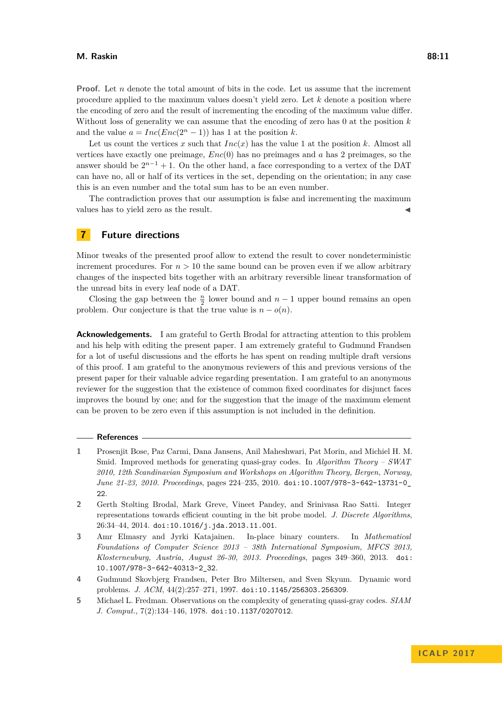#### **M. Raskin 88:11**

**Proof.** Let *n* denote the total amount of bits in the code. Let us assume that the increment procedure applied to the maximum values doesn't yield zero. Let *k* denote a position where the encoding of zero and the result of incrementing the encoding of the maximum value differ. Without loss of generality we can assume that the encoding of zero has 0 at the position *k* and the value  $a = Inc(Enc(2<sup>n</sup> - 1))$  has 1 at the position *k*.

Let us count the vertices x such that  $Inc(x)$  has the value 1 at the position k. Almost all vertices have exactly one preimage, *Enc*(0) has no preimages and *a* has 2 preimages, so the answer should be  $2^{n-1} + 1$ . On the other hand, a face corresponding to a vertex of the DAT can have no, all or half of its vertices in the set, depending on the orientation; in any case this is an even number and the total sum has to be an even number.

The contradiction proves that our assumption is false and incrementing the maximum values has to yield zero as the result.

# **7 Future directions**

Minor tweaks of the presented proof allow to extend the result to cover nondeterministic increment procedures. For  $n > 10$  the same bound can be proven even if we allow arbitrary changes of the inspected bits together with an arbitrary reversible linear transformation of the unread bits in every leaf node of a DAT.

Closing the gap between the  $\frac{n}{2}$  lower bound and  $n-1$  upper bound remains an open problem. Our conjecture is that the true value is  $n - o(n)$ .

**Acknowledgements.** I am grateful to Gerth Brodal for attracting attention to this problem and his help with editing the present paper. I am extremely grateful to Gudmund Frandsen for a lot of useful discussions and the efforts he has spent on reading multiple draft versions of this proof. I am grateful to the anonymous reviewers of this and previous versions of the present paper for their valuable advice regarding presentation. I am grateful to an anonymous reviewer for the suggestion that the existence of common fixed coordinates for disjunct faces improves the bound by one; and for the suggestion that the image of the maximum element can be proven to be zero even if this assumption is not included in the definition.

### **References**

- <span id="page-10-3"></span>**1** Prosenjit Bose, Paz Carmi, Dana Jansens, Anil Maheshwari, Pat Morin, and Michiel H. M. Smid. Improved methods for generating quasi-gray codes. In *Algorithm Theory – SWAT 2010, 12th Scandinavian Symposium and Workshops on Algorithm Theory, Bergen, Norway, June 21-23, 2010. Proceedings*, pages 224–235, 2010. [doi:10.1007/978-3-642-13731-0\\_](http://dx.doi.org/10.1007/978-3-642-13731-0_22) [22](http://dx.doi.org/10.1007/978-3-642-13731-0_22).
- <span id="page-10-2"></span>**2** Gerth Stølting Brodal, Mark Greve, Vineet Pandey, and Srinivasa Rao Satti. Integer representations towards efficient counting in the bit probe model. *J. Discrete Algorithms*, 26:34–44, 2014. [doi:10.1016/j.jda.2013.11.001](http://dx.doi.org/10.1016/j.jda.2013.11.001).
- <span id="page-10-4"></span>**3** Amr Elmasry and Jyrki Katajainen. In-place binary counters. In *Mathematical Foundations of Computer Science 2013 – 38th International Symposium, MFCS 2013, Klosterneuburg, Austria, August 26-30, 2013. Proceedings*, pages 349–360, 2013. [doi:](http://dx.doi.org/10.1007/978-3-642-40313-2_32) [10.1007/978-3-642-40313-2\\_32](http://dx.doi.org/10.1007/978-3-642-40313-2_32).
- <span id="page-10-1"></span>**4** Gudmund Skovbjerg Frandsen, Peter Bro Miltersen, and Sven Skyum. Dynamic word problems. *J. ACM*, 44(2):257–271, 1997. [doi:10.1145/256303.256309](http://dx.doi.org/10.1145/256303.256309).
- <span id="page-10-0"></span>**5** Michael L. Fredman. Observations on the complexity of generating quasi-gray codes. *SIAM J. Comput.*, 7(2):134–146, 1978. [doi:10.1137/0207012](http://dx.doi.org/10.1137/0207012).